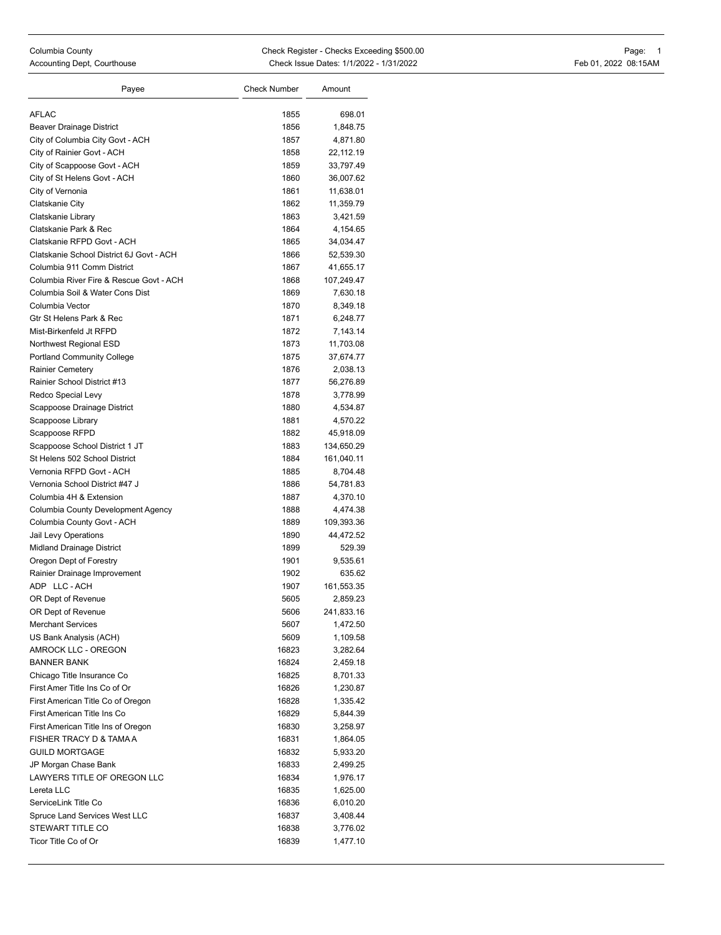| Payee                                                        | <b>Check Number</b> | Amount                 |
|--------------------------------------------------------------|---------------------|------------------------|
| <b>AFLAC</b>                                                 |                     |                        |
|                                                              | 1855                | 698.01                 |
| Beaver Drainage District                                     | 1856                | 1,848.75               |
| City of Columbia City Govt - ACH                             | 1857<br>1858        | 4,871.80               |
| City of Rainier Govt - ACH                                   | 1859                | 22,112.19<br>33,797.49 |
| City of Scappoose Govt - ACH<br>City of St Helens Govt - ACH | 1860                | 36,007.62              |
| City of Vernonia                                             | 1861                | 11,638.01              |
| Clatskanie City                                              | 1862                | 11,359.79              |
| Clatskanie Library                                           | 1863                | 3,421.59               |
| Clatskanie Park & Rec                                        | 1864                | 4,154.65               |
| Clatskanie RFPD Govt - ACH                                   | 1865                | 34,034.47              |
| Clatskanie School District 6J Govt - ACH                     | 1866                | 52,539.30              |
| Columbia 911 Comm District                                   | 1867                | 41,655.17              |
| Columbia River Fire & Rescue Govt - ACH                      | 1868                | 107,249.47             |
| Columbia Soil & Water Cons Dist                              | 1869                | 7,630.18               |
| Columbia Vector                                              | 1870                | 8,349.18               |
| Gtr St Helens Park & Rec                                     | 1871                | 6,248.77               |
| Mist-Birkenfeld Jt RFPD                                      | 1872                | 7,143.14               |
| Northwest Regional ESD                                       | 1873                | 11,703.08              |
| <b>Portland Community College</b>                            | 1875                | 37,674.77              |
| Rainier Cemetery                                             | 1876                | 2,038.13               |
| Rainier School District #13                                  | 1877                | 56,276.89              |
| Redco Special Levy                                           | 1878                | 3,778.99               |
| Scappoose Drainage District                                  | 1880                | 4,534.87               |
| Scappoose Library                                            | 1881                | 4,570.22               |
| Scappoose RFPD                                               | 1882                | 45,918.09              |
| Scappoose School District 1 JT                               | 1883                | 134,650.29             |
| St Helens 502 School District                                | 1884                | 161,040.11             |
| Vernonia RFPD Govt - ACH                                     | 1885                | 8,704.48               |
| Vernonia School District #47 J                               | 1886                | 54,781.83              |
| Columbia 4H & Extension                                      | 1887                | 4,370.10               |
| Columbia County Development Agency                           | 1888                | 4,474.38               |
| Columbia County Govt - ACH                                   | 1889                | 109,393.36             |
| Jail Levy Operations                                         | 1890                | 44,472.52              |
| Midland Drainage District                                    | 1899                | 529.39                 |
| Oregon Dept of Forestry                                      | 1901                | 9,535.61               |
| Rainier Drainage Improvement                                 | 1902                | 635.62                 |
| ADP LLC-ACH                                                  | 1907                | 161,553.35             |
| OR Dept of Revenue                                           | 5605                | 2,859.23               |
| OR Dept of Revenue                                           | 5606                | 241,833.16             |
| <b>Merchant Services</b>                                     | 5607                | 1,472.50               |
| US Bank Analysis (ACH)                                       | 5609                | 1,109.58               |
| AMROCK LLC - OREGON                                          | 16823               | 3,282.64               |
| <b>BANNER BANK</b>                                           | 16824               | 2,459.18               |
| Chicago Title Insurance Co                                   | 16825               | 8,701.33               |
| First Amer Title Ins Co of Or                                | 16826               | 1,230.87               |
| First American Title Co of Oregon                            | 16828               | 1,335.42               |
| First American Title Ins Co                                  | 16829               | 5,844.39               |
| First American Title Ins of Oregon                           | 16830               | 3,258.97               |
| FISHER TRACY D & TAMA A                                      | 16831               | 1,864.05               |
| <b>GUILD MORTGAGE</b>                                        | 16832               | 5,933.20               |
| JP Morgan Chase Bank                                         | 16833               | 2,499.25               |
| LAWYERS TITLE OF OREGON LLC                                  | 16834               | 1,976.17               |
| Lereta LLC                                                   | 16835               | 1,625.00               |
| ServiceLink Title Co                                         | 16836               | 6,010.20               |
| Spruce Land Services West LLC                                | 16837               | 3,408.44               |
| STEWART TITLE CO                                             | 16838               | 3,776.02               |
| Ticor Title Co of Or                                         | 16839               | 1,477.10               |
|                                                              |                     |                        |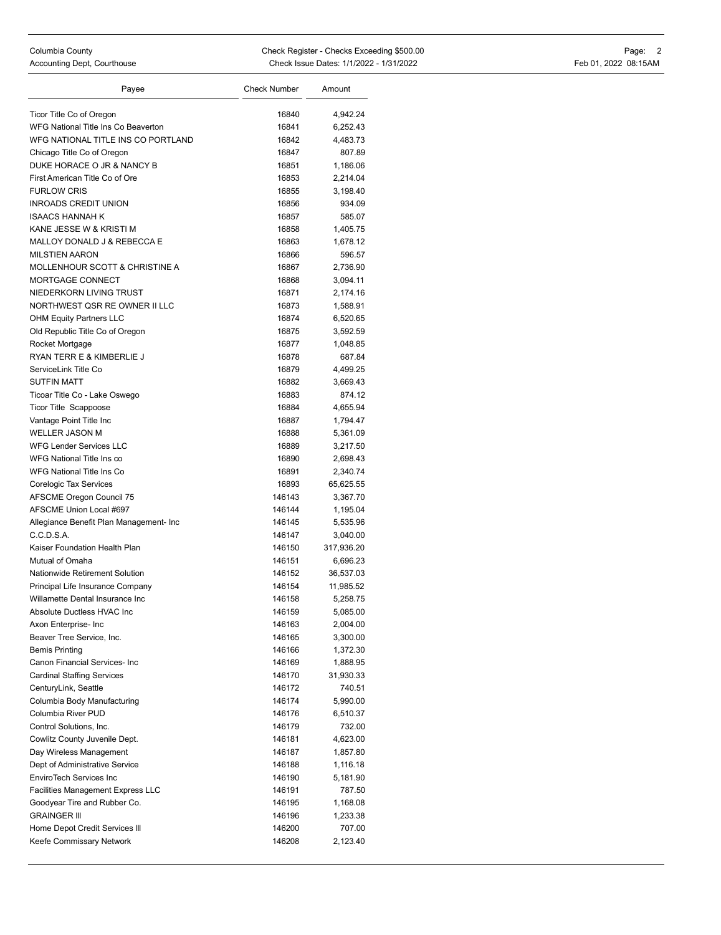| Payee                                    | <b>Check Number</b> | Amount     |
|------------------------------------------|---------------------|------------|
|                                          |                     |            |
| Ticor Title Co of Oregon                 | 16840               | 4,942.24   |
| WFG National Title Ins Co Beaverton      | 16841               | 6,252.43   |
| WFG NATIONAL TITLE INS CO PORTLAND       | 16842               | 4,483.73   |
| Chicago Title Co of Oregon               | 16847               | 807.89     |
| DUKE HORACE O JR & NANCY B               | 16851               | 1,186.06   |
| First American Title Co of Ore           | 16853               | 2,214.04   |
| <b>FURLOW CRIS</b>                       | 16855               | 3,198.40   |
| <b>INROADS CREDIT UNION</b>              | 16856               | 934.09     |
| <b>ISAACS HANNAH K</b>                   | 16857               | 585.07     |
| KANE JESSE W & KRISTI M                  | 16858               | 1,405.75   |
| MALLOY DONALD J & REBECCA E              | 16863               | 1,678.12   |
| <b>MILSTIEN AARON</b>                    | 16866               | 596.57     |
| MOLLENHOUR SCOTT & CHRISTINE A           | 16867               | 2,736.90   |
| MORTGAGE CONNECT                         | 16868               | 3,094.11   |
| NIEDERKORN LIVING TRUST                  | 16871               | 2,174.16   |
| NORTHWEST QSR RE OWNER II LLC            | 16873               | 1,588.91   |
| <b>OHM Equity Partners LLC</b>           | 16874               | 6,520.65   |
| Old Republic Title Co of Oregon          | 16875               | 3,592.59   |
| Rocket Mortgage                          | 16877               | 1,048.85   |
| RYAN TERR E & KIMBERLIE J                | 16878               | 687.84     |
| ServiceLink Title Co                     | 16879               | 4,499.25   |
| <b>SUTFIN MATT</b>                       | 16882               | 3,669.43   |
| Ticoar Title Co - Lake Oswego            | 16883               | 874.12     |
| <b>Ticor Title Scappoose</b>             | 16884               | 4,655.94   |
| Vantage Point Title Inc                  | 16887               | 1,794.47   |
| <b>WELLER JASON M</b>                    | 16888               | 5,361.09   |
| <b>WFG Lender Services LLC</b>           | 16889               | 3,217.50   |
| WFG National Title Ins co                | 16890               | 2,698.43   |
| <b>WFG National Title Ins Co</b>         | 16891               | 2,340.74   |
| Corelogic Tax Services                   | 16893               | 65,625.55  |
| AFSCME Oregon Council 75                 | 146143              | 3,367.70   |
| AFSCME Union Local #697                  | 146144              | 1,195.04   |
| Allegiance Benefit Plan Management- Inc  | 146145              | 5,535.96   |
| C.C.D.S.A.                               | 146147              | 3,040.00   |
| Kaiser Foundation Health Plan            | 146150              | 317,936.20 |
| Mutual of Omaha                          | 146151              | 6,696.23   |
| Nationwide Retirement Solution           | 146152              | 36,537.03  |
| Principal Life Insurance Company         | 146154              | 11,985.52  |
| Willamette Dental Insurance Inc          | 146158              | 5,258.75   |
| Absolute Ductless HVAC Inc               | 146159              | 5,085.00   |
| Axon Enterprise- Inc                     | 146163              | 2,004.00   |
| Beaver Tree Service, Inc.                | 146165              | 3,300.00   |
| <b>Bemis Printing</b>                    | 146166              | 1,372.30   |
| Canon Financial Services- Inc            | 146169              | 1,888.95   |
| <b>Cardinal Staffing Services</b>        | 146170              | 31,930.33  |
| CenturyLink, Seattle                     | 146172              | 740.51     |
| Columbia Body Manufacturing              | 146174              | 5,990.00   |
| Columbia River PUD                       | 146176              | 6,510.37   |
| Control Solutions, Inc.                  | 146179              | 732.00     |
| Cowlitz County Juvenile Dept.            | 146181              | 4,623.00   |
| Day Wireless Management                  | 146187              | 1,857.80   |
| Dept of Administrative Service           | 146188              | 1,116.18   |
| EnviroTech Services Inc                  | 146190              | 5,181.90   |
| <b>Facilities Management Express LLC</b> | 146191              | 787.50     |
| Goodyear Tire and Rubber Co.             | 146195              | 1,168.08   |
| <b>GRAINGER III</b>                      | 146196              | 1,233.38   |
| Home Depot Credit Services III           | 146200              | 707.00     |
| Keefe Commissary Network                 | 146208              | 2,123.40   |
|                                          |                     |            |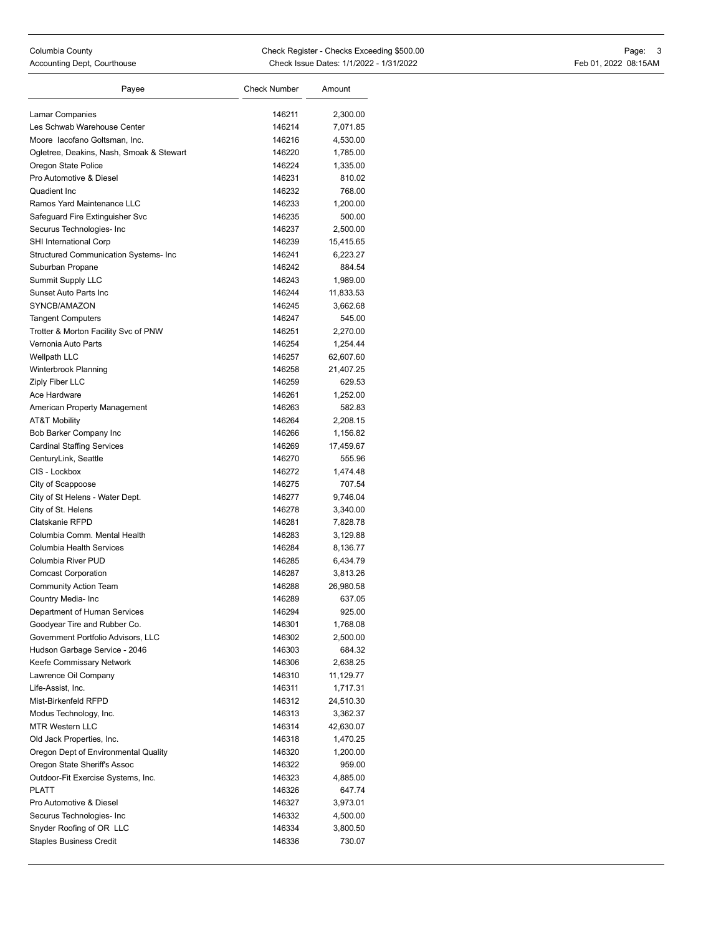| Payee                                                        | <b>Check Number</b> | Amount             |
|--------------------------------------------------------------|---------------------|--------------------|
|                                                              |                     |                    |
| Lamar Companies                                              | 146211              | 2,300.00           |
| Les Schwab Warehouse Center<br>Moore lacofano Goltsman, Inc. | 146214<br>146216    | 7,071.85           |
|                                                              |                     | 4,530.00           |
| Ogletree, Deakins, Nash, Smoak & Stewart                     | 146220              | 1,785.00           |
| Oregon State Police<br>Pro Automotive & Diesel               | 146224              | 1,335.00           |
|                                                              | 146231              | 810.02             |
| Quadient Inc<br>Ramos Yard Maintenance LLC                   | 146232<br>146233    | 768.00<br>1,200.00 |
| Safequard Fire Extinquisher Svc                              |                     |                    |
| Securus Technologies- Inc                                    | 146235<br>146237    | 500.00<br>2,500.00 |
| SHI International Corp                                       | 146239              | 15,415.65          |
| Structured Communication Systems- Inc                        | 146241              | 6,223.27           |
| Suburban Propane                                             | 146242              | 884.54             |
| Summit Supply LLC                                            | 146243              | 1,989.00           |
| Sunset Auto Parts Inc                                        | 146244              | 11,833.53          |
| SYNCB/AMAZON                                                 | 146245              | 3,662.68           |
| <b>Tangent Computers</b>                                     | 146247              | 545.00             |
| Trotter & Morton Facility Svc of PNW                         | 146251              | 2,270.00           |
| Vernonia Auto Parts                                          | 146254              | 1,254.44           |
| <b>Wellpath LLC</b>                                          | 146257              | 62,607.60          |
| Winterbrook Planning                                         | 146258              | 21,407.25          |
| Ziply Fiber LLC                                              | 146259              | 629.53             |
| Ace Hardware                                                 | 146261              | 1,252.00           |
| American Property Management                                 | 146263              | 582.83             |
| <b>AT&amp;T Mobility</b>                                     | 146264              | 2,208.15           |
| Bob Barker Company Inc                                       | 146266              | 1,156.82           |
| <b>Cardinal Staffing Services</b>                            | 146269              | 17,459.67          |
| CenturyLink, Seattle                                         | 146270              | 555.96             |
| CIS - Lockbox                                                | 146272              | 1,474.48           |
| City of Scappoose                                            | 146275              | 707.54             |
| City of St Helens - Water Dept.                              | 146277              | 9,746.04           |
| City of St. Helens                                           | 146278              | 3,340.00           |
| Clatskanie RFPD                                              | 146281              | 7,828.78           |
| Columbia Comm. Mental Health                                 | 146283              | 3,129.88           |
| Columbia Health Services                                     | 146284              | 8,136.77           |
| Columbia River PUD                                           | 146285              | 6,434.79           |
| <b>Comcast Corporation</b>                                   | 146287              | 3,813.26           |
| <b>Community Action Team</b>                                 | 146288              | 26,980.58          |
| Country Media- Inc                                           | 146289              | 637.05             |
| Department of Human Services                                 | 146294              | 925.00             |
| Goodyear Tire and Rubber Co.                                 | 146301              | 1,768.08           |
| Government Portfolio Advisors, LLC                           | 146302              | 2,500.00           |
| Hudson Garbage Service - 2046                                | 146303              | 684.32             |
| Keefe Commissary Network                                     | 146306              | 2,638.25           |
| Lawrence Oil Company                                         | 146310              | 11,129.77          |
| Life-Assist, Inc.                                            | 146311              | 1,717.31           |
| Mist-Birkenfeld RFPD                                         | 146312              | 24,510.30          |
| Modus Technology, Inc.                                       | 146313              | 3,362.37           |
| <b>MTR Western LLC</b>                                       | 146314              | 42,630.07          |
| Old Jack Properties, Inc.                                    | 146318              | 1,470.25           |
| Oregon Dept of Environmental Quality                         | 146320              | 1,200.00           |
| Oregon State Sheriff's Assoc                                 | 146322              | 959.00             |
| Outdoor-Fit Exercise Systems, Inc.                           | 146323              | 4,885.00           |
| <b>PLATT</b>                                                 | 146326              | 647.74             |
| Pro Automotive & Diesel                                      | 146327              | 3,973.01           |
|                                                              | 146332              | 4,500.00           |
| Securus Technologies- Inc                                    |                     |                    |
| Snyder Roofing of OR LLC                                     | 146334              | 3,800.50           |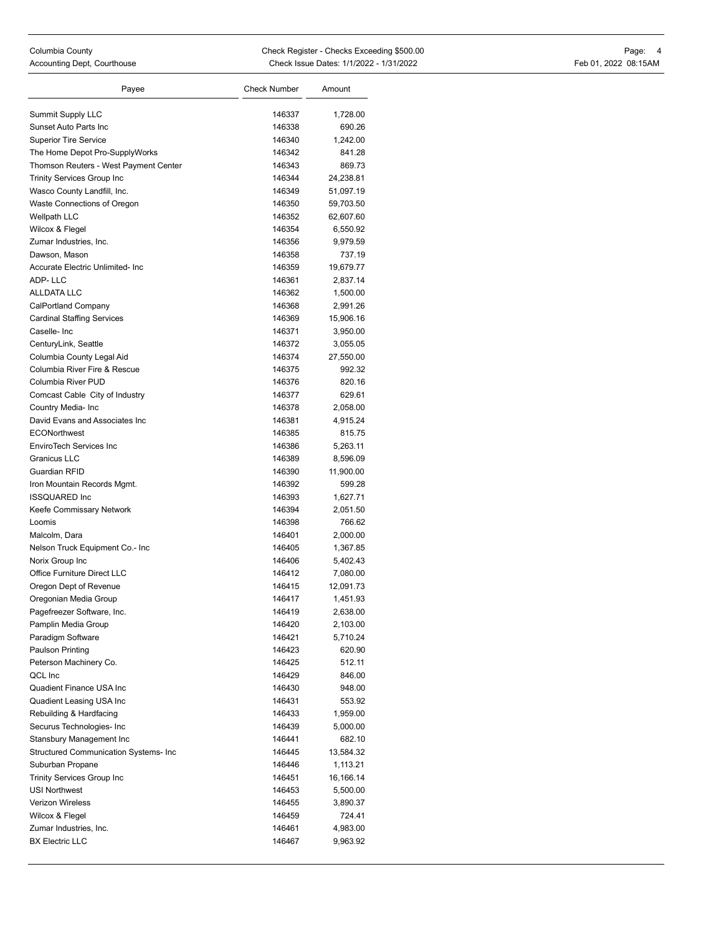| Payee                                                | <b>Check Number</b> | Amount                |
|------------------------------------------------------|---------------------|-----------------------|
| <b>Summit Supply LLC</b>                             | 146337              | 1,728.00              |
| Sunset Auto Parts Inc                                | 146338              | 690.26                |
| <b>Superior Tire Service</b>                         | 146340              | 1,242.00              |
| The Home Depot Pro-SupplyWorks                       | 146342              | 841.28                |
| Thomson Reuters - West Payment Center                | 146343              | 869.73                |
| <b>Trinity Services Group Inc</b>                    | 146344              | 24,238.81             |
| Wasco County Landfill, Inc.                          | 146349              | 51,097.19             |
| Waste Connections of Oregon                          | 146350              | 59,703.50             |
| <b>Wellpath LLC</b>                                  | 146352              | 62,607.60             |
| Wilcox & Flegel                                      | 146354              | 6,550.92              |
| Zumar Industries, Inc.                               | 146356              | 9,979.59              |
| Dawson, Mason                                        | 146358              | 737.19                |
| Accurate Electric Unlimited- Inc                     | 146359              | 19,679.77             |
| ADP-LLC                                              | 146361              | 2,837.14              |
| <b>ALLDATA LLC</b>                                   | 146362              | 1,500.00              |
| CalPortland Company                                  | 146368              | 2,991.26              |
| <b>Cardinal Staffing Services</b>                    | 146369              | 15,906.16             |
| Caselle-Inc                                          | 146371              | 3,950.00              |
|                                                      | 146372              |                       |
| CenturyLink, Seattle<br>Columbia County Legal Aid    | 146374              | 3,055.05<br>27,550.00 |
| Columbia River Fire & Rescue                         | 146375              | 992.32                |
| Columbia River PUD                                   | 146376              | 820.16                |
|                                                      |                     |                       |
| Comcast Cable City of Industry                       | 146377              | 629.61                |
| Country Media- Inc<br>David Evans and Associates Inc | 146378              | 2,058.00              |
| <b>ECONorthwest</b>                                  | 146381              | 4,915.24              |
| <b>EnviroTech Services Inc</b>                       | 146385<br>146386    | 815.75                |
| <b>Granicus LLC</b>                                  |                     | 5,263.11              |
| Guardian RFID                                        | 146389              | 8,596.09              |
|                                                      | 146390              | 11,900.00             |
| Iron Mountain Records Mgmt.<br><b>ISSQUARED Inc</b>  | 146392<br>146393    | 599.28                |
| Keefe Commissary Network                             | 146394              | 1,627.71              |
| Loomis                                               | 146398              | 2,051.50<br>766.62    |
|                                                      | 146401              |                       |
| Malcolm, Dara                                        | 146405              | 2,000.00              |
| Nelson Truck Equipment Co.- Inc<br>Norix Group Inc   | 146406              | 1,367.85              |
| Office Furniture Direct LLC                          | 146412              | 5,402.43              |
| Oregon Dept of Revenue                               | 146415              | 7,080.00              |
| Oregonian Media Group                                | 146417              | 12,091.73<br>1,451.93 |
| Pagefreezer Software, Inc.                           | 146419              |                       |
| Pamplin Media Group                                  | 146420              | 2,638.00<br>2,103.00  |
| Paradigm Software                                    | 146421              | 5,710.24              |
| Paulson Printing                                     | 146423              | 620.90                |
| Peterson Machinery Co.                               | 146425              | 512.11                |
| QCL Inc                                              | 146429              | 846.00                |
| Quadient Finance USA Inc                             | 146430              | 948.00                |
| Quadient Leasing USA Inc                             | 146431              | 553.92                |
| Rebuilding & Hardfacing                              | 146433              | 1,959.00              |
| Securus Technologies- Inc                            | 146439              | 5,000.00              |
| Stansbury Management Inc                             | 146441              | 682.10                |
| <b>Structured Communication Systems- Inc</b>         | 146445              | 13,584.32             |
| Suburban Propane                                     | 146446              | 1,113.21              |
| <b>Trinity Services Group Inc</b>                    | 146451              |                       |
| <b>USI Northwest</b>                                 | 146453              | 16,166.14             |
| <b>Verizon Wireless</b>                              |                     | 5,500.00              |
| Wilcox & Flegel                                      | 146455              | 3,890.37              |
| Zumar Industries, Inc.                               | 146459              | 724.41                |
| <b>BX Electric LLC</b>                               | 146461<br>146467    | 4,983.00<br>9,963.92  |
|                                                      |                     |                       |